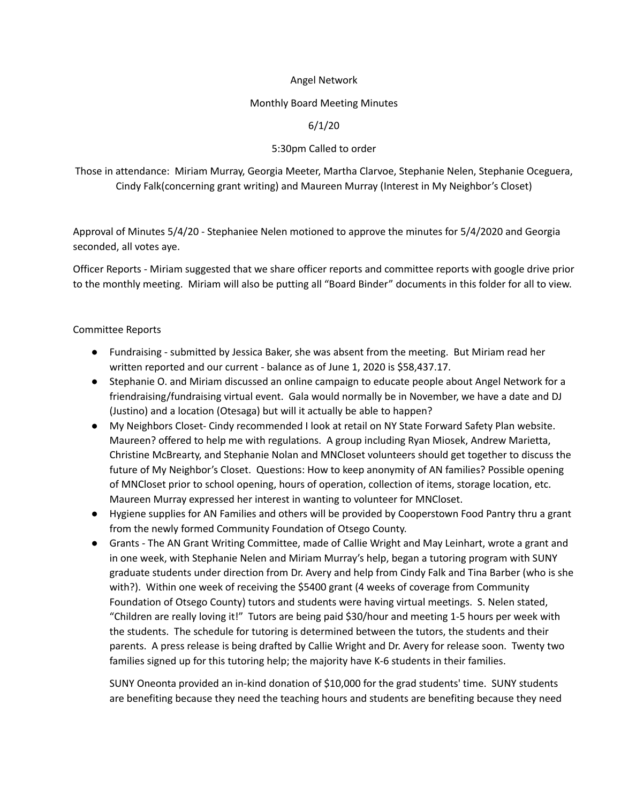# Angel Network

#### Monthly Board Meeting Minutes

# 6/1/20

# 5:30pm Called to order

Those in attendance: Miriam Murray, Georgia Meeter, Martha Clarvoe, Stephanie Nelen, Stephanie Oceguera, Cindy Falk(concerning grant writing) and Maureen Murray (Interest in My Neighbor's Closet)

Approval of Minutes 5/4/20 - Stephaniee Nelen motioned to approve the minutes for 5/4/2020 and Georgia seconded, all votes aye.

Officer Reports - Miriam suggested that we share officer reports and committee reports with google drive prior to the monthly meeting. Miriam will also be putting all "Board Binder" documents in this folder for all to view.

### Committee Reports

- Fundraising submitted by Jessica Baker, she was absent from the meeting. But Miriam read her written reported and our current - balance as of June 1, 2020 is \$58,437.17.
- Stephanie O. and Miriam discussed an online campaign to educate people about Angel Network for a friendraising/fundraising virtual event. Gala would normally be in November, we have a date and DJ (Justino) and a location (Otesaga) but will it actually be able to happen?
- My Neighbors Closet- Cindy recommended I look at retail on NY State Forward Safety Plan website. Maureen? offered to help me with regulations. A group including Ryan Miosek, Andrew Marietta, Christine McBrearty, and Stephanie Nolan and MNCloset volunteers should get together to discuss the future of My Neighbor's Closet. Questions: How to keep anonymity of AN families? Possible opening of MNCloset prior to school opening, hours of operation, collection of items, storage location, etc. Maureen Murray expressed her interest in wanting to volunteer for MNCloset.
- Hygiene supplies for AN Families and others will be provided by Cooperstown Food Pantry thru a grant from the newly formed Community Foundation of Otsego County.
- Grants The AN Grant Writing Committee, made of Callie Wright and May Leinhart, wrote a grant and in one week, with Stephanie Nelen and Miriam Murray's help, began a tutoring program with SUNY graduate students under direction from Dr. Avery and help from Cindy Falk and Tina Barber (who is she with?). Within one week of receiving the \$5400 grant (4 weeks of coverage from Community Foundation of Otsego County) tutors and students were having virtual meetings. S. Nelen stated, "Children are really loving it!" Tutors are being paid \$30/hour and meeting 1-5 hours per week with the students. The schedule for tutoring is determined between the tutors, the students and their parents. A press release is being drafted by Callie Wright and Dr. Avery for release soon. Twenty two families signed up for this tutoring help; the majority have K-6 students in their families.

SUNY Oneonta provided an in-kind donation of \$10,000 for the grad students' time. SUNY students are benefiting because they need the teaching hours and students are benefiting because they need